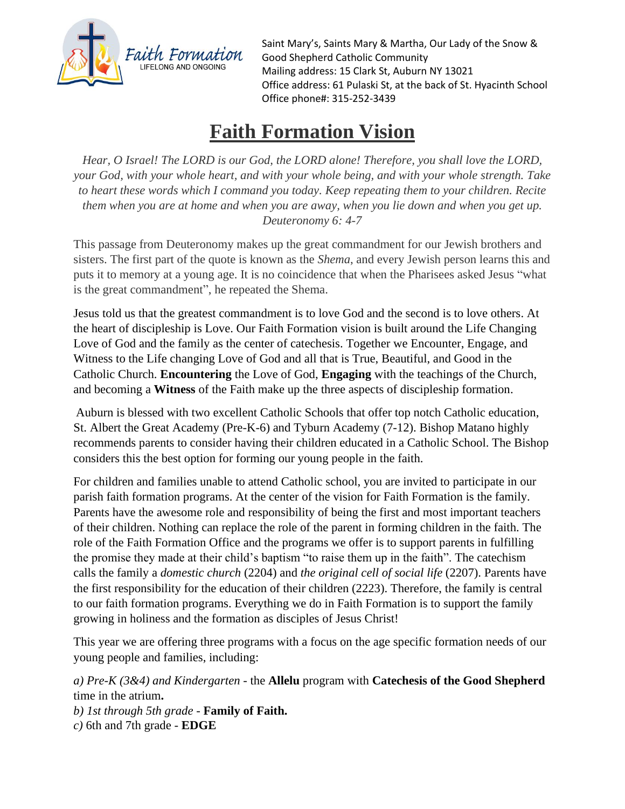

Saint Mary's, Saints Mary & Martha, Our Lady of the Snow & Good Shepherd Catholic Community Mailing address: 15 Clark St, Auburn NY 13021 Office address: 61 Pulaski St, at the back of St. Hyacinth School Office phone#: 315-252-3439

## **Faith Formation Vision**

*Hear, O Israel! The LORD is our God, the LORD alone! Therefore, you shall love the LORD, your God, with your whole heart, and with your whole being, and with your whole strength. Take to heart these words which I command you today. Keep repeating them to your children. Recite* them when you are at home and when you are away, when you lie down and when you get up. *Deuteronomy 6: 4-7*

This passage from Deuteronomy makes up the great commandment for our Jewish brothers and sisters. The first part of the quote is known as the *Shema*, and every Jewish person learns this and puts it to memory at a young age. It is no coincidence that when the Pharisees asked Jesus "what is the great commandment", he repeated the Shema.

Jesus told us that the greatest commandment is to love God and the second is to love others. At the heart of discipleship is Love. Our Faith Formation vision is built around the Life Changing Love of God and the family as the center of catechesis. Together we Encounter, Engage, and Witness to the Life changing Love of God and all that is True, Beautiful, and Good in the Catholic Church. **Encountering** the Love of God, **Engaging** with the teachings of the Church, and becoming a **Witness** of the Faith make up the three aspects of discipleship formation.

Auburn is blessed with two excellent Catholic Schools that offer top notch Catholic education, St. Albert the Great Academy (Pre-K-6) and Tyburn Academy (7-12). Bishop Matano highly recommends parents to consider having their children educated in a Catholic School. The Bishop considers this the best option for forming our young people in the faith.

For children and families unable to attend Catholic school, you are invited to participate in our parish faith formation programs. At the center of the vision for Faith Formation is the family. Parents have the awesome role and responsibility of being the first and most important teachers of their children. Nothing can replace the role of the parent in forming children in the faith. The role of the Faith Formation Office and the programs we offer is to support parents in fulfilling the promise they made at their child's baptism "to raise them up in the faith". The catechism calls the family a *domestic church* (2204) and *the original cell of social life* (2207). Parents have the first responsibility for the education of their children (2223). Therefore, the family is central to our faith formation programs. Everything we do in Faith Formation is to support the family growing in holiness and the formation as disciples of Jesus Christ!

This year we are offering three programs with a focus on the age specific formation needs of our young people and families, including:

*a) Pre-K (3&4) and Kindergarten* - the **Allelu** program with **Catechesis of the Good Shepherd** time in the atrium**.** 

*b) 1st through 5th grade* - **Family of Faith.**  *c)* 6th and 7th grade - **EDGE**